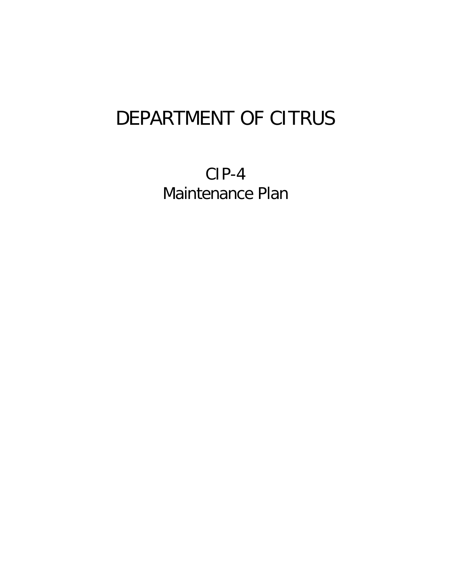## DEPARTMENT OF CITRUS

CIP-4 Maintenance Plan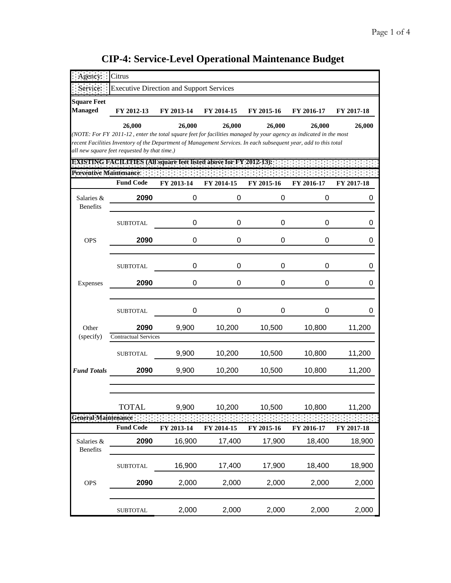|                                | Citrus                                                                                                                                                                                                                                                                                |            |            |            |            |            |
|--------------------------------|---------------------------------------------------------------------------------------------------------------------------------------------------------------------------------------------------------------------------------------------------------------------------------------|------------|------------|------------|------------|------------|
| Service:                       | <b>Executive Direction and Support Services</b>                                                                                                                                                                                                                                       |            |            |            |            |            |
| <b>Square Feet</b>             |                                                                                                                                                                                                                                                                                       |            |            |            |            |            |
| <b>Managed</b>                 | FY 2012-13                                                                                                                                                                                                                                                                            | FY 2013-14 | FY 2014-15 | FY 2015-16 | FY 2016-17 | FY 2017-18 |
|                                | 26,000                                                                                                                                                                                                                                                                                | 26,000     | 26,000     | 26,000     | 26,000     | 26,000     |
|                                | (NOTE: For FY 2011-12, enter the total square feet for facilities managed by your agency as indicated in the most<br>recent Facilities Inventory of the Department of Management Services. In each subsequent year, add to this total<br>all new square feet requested by that time.) |            |            |            |            |            |
|                                | <b>EXISTING FACILITIES (All square feet listed above for FY 2012-13):</b>                                                                                                                                                                                                             |            |            |            |            |            |
| <b>Preventive Maintenance:</b> | <b>Fund Code</b>                                                                                                                                                                                                                                                                      | FY 2013-14 | FY 2014-15 | FY 2015-16 | FY 2016-17 | FY 2017-18 |
| Salaries &<br><b>Benefits</b>  | 2090                                                                                                                                                                                                                                                                                  | 0          | 0          | 0          | 0          | 0          |
|                                | <b>SUBTOTAL</b>                                                                                                                                                                                                                                                                       | 0          | 0          | 0          | 0          | 0          |
| <b>OPS</b>                     | 2090                                                                                                                                                                                                                                                                                  | 0          | 0          | 0          | 0          | 0          |
|                                | <b>SUBTOTAL</b>                                                                                                                                                                                                                                                                       | 0          | 0          | 0          | 0          | 0          |
| Expenses                       | 2090                                                                                                                                                                                                                                                                                  | 0          | 0          | 0          | 0          | 0          |
|                                | <b>SUBTOTAL</b>                                                                                                                                                                                                                                                                       | 0          | 0          | 0          | 0          | 0          |
| Other                          | 2090                                                                                                                                                                                                                                                                                  | 9,900      | 10,200     | 10,500     | 10,800     | 11,200     |
| (specify)                      | <b>Contractual Services</b>                                                                                                                                                                                                                                                           |            |            |            |            |            |
|                                | <b>SUBTOTAL</b>                                                                                                                                                                                                                                                                       | 9,900      | 10,200     | 10,500     | 10,800     | 11,200     |
| <b>Fund Totals</b>             | 2090                                                                                                                                                                                                                                                                                  | 9,900      | 10,200     | 10,500     | 10,800     | 11,200     |
|                                | <b>TOTAL</b>                                                                                                                                                                                                                                                                          | 9,900      | 10,200     | 10,500     | 10,800     | 11,200     |
| <b>General Maintenance</b>     |                                                                                                                                                                                                                                                                                       |            |            |            |            |            |
|                                | <b>Fund Code</b>                                                                                                                                                                                                                                                                      | FY 2013-14 | FY 2014-15 | FY 2015-16 | FY 2016-17 | FY 2017-18 |
| Salaries &<br>Benefits         | 2090                                                                                                                                                                                                                                                                                  | 16,900     | 17,400     | 17,900     | 18,400     | 18,900     |
|                                | <b>SUBTOTAL</b>                                                                                                                                                                                                                                                                       | 16,900     | 17,400     | 17,900     | 18,400     | 18,900     |
| <b>OPS</b>                     | 2090                                                                                                                                                                                                                                                                                  | 2,000      | 2,000      | 2,000      | 2,000      | 2,000      |
|                                | <b>SUBTOTAL</b>                                                                                                                                                                                                                                                                       | 2,000      | 2,000      | 2,000      | 2,000      | 2,000      |

**CIP-4: Service-Level Operational Maintenance Budget**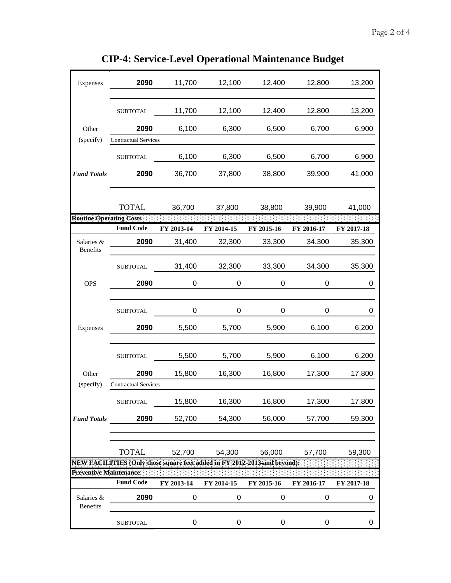|                                | <b>CIP-4: Service-Level Operational Maintenance Budget</b> |             |                  |            |            |            |
|--------------------------------|------------------------------------------------------------|-------------|------------------|------------|------------|------------|
| Expenses                       | 2090                                                       | 11,700      | 12,100           | 12,400     | 12,800     | 13,200     |
|                                | <b>SUBTOTAL</b>                                            | 11,700      | 12,100           | 12,400     | 12,800     | 13,200     |
| Other                          | 2090                                                       | 6,100       | 6,300            | 6,500      | 6,700      | 6,900      |
| (specify)                      | <b>Contractual Services</b>                                |             |                  |            |            |            |
|                                | <b>SUBTOTAL</b>                                            | 6,100       | 6,300            | 6,500      | 6,700      | 6,900      |
| <b>Fund Totals</b>             | 2090                                                       | 36,700      | 37,800           | 38,800     | 39,900     | 41,000     |
| <b>Routine Operating Costs</b> | <b>TOTAL</b>                                               | 36,700      | 37,800           | 38,800     | 39,900     | 41,000     |
|                                | <b>Fund Code</b>                                           | FY 2013-14  | FY 2014-15       | FY 2015-16 | FY 2016-17 | FY 2017-18 |
| Salaries &<br><b>Benefits</b>  | 2090                                                       | 31,400      | 32,300           | 33,300     | 34,300     | 35,300     |
|                                | <b>SUBTOTAL</b>                                            | 31,400      | 32,300           | 33,300     | 34,300     | 35,300     |
| <b>OPS</b>                     | 2090                                                       | $\mathbf 0$ | $\boldsymbol{0}$ | 0          | 0          | 0          |
|                                | <b>SUBTOTAL</b>                                            | 0           | 0                | 0          | 0          | 0          |
| Experies                       | 2090                                                       | 5500        | 5.700            | 5.900      | 6.100      | 6.200      |

**CIP-4: Service-Le** 

| <b>Benefits</b>               |                                                                          |            |            |            |            |            |
|-------------------------------|--------------------------------------------------------------------------|------------|------------|------------|------------|------------|
|                               | <b>SUBTOTAL</b>                                                          | 31,400     | 32,300     | 33,300     | 34,300     | 35,300     |
| <b>OPS</b>                    | 2090                                                                     | 0          | 0          | 0          | 0          | 0          |
|                               |                                                                          |            |            |            |            |            |
|                               | <b>SUBTOTAL</b>                                                          | 0          | $\Omega$   | 0          | 0          | 0          |
| Expenses                      | 2090                                                                     | 5,500      | 5,700      | 5,900      | 6,100      | 6,200      |
|                               | <b>SUBTOTAL</b>                                                          | 5,500      | 5,700      | 5,900      | 6,100      | 6,200      |
| Other                         | 2090                                                                     | 15,800     | 16,300     | 16,800     | 17,300     | 17,800     |
| (specify)                     | <b>Contractual Services</b>                                              |            |            |            |            |            |
|                               | <b>SUBTOTAL</b>                                                          | 15,800     | 16,300     | 16,800     | 17,300     | 17,800     |
| <b>Fund Totals</b>            | 2090                                                                     | 52,700     | 54,300     | 56,000     | 57,700     | 59,300     |
|                               |                                                                          |            |            |            |            |            |
|                               | <b>TOTAL</b>                                                             | 52,700     | 54,300     | 56,000     | 57,700     | 59,300     |
|                               | NEW FACILTIES (Only those square feet added in FY 2012-2013 and beyond). |            |            |            |            |            |
| Preventive Maintenance:       |                                                                          |            |            |            |            |            |
|                               | <b>Fund Code</b>                                                         | FY 2013-14 | FY 2014-15 | FY 2015-16 | FY 2016-17 | FY 2017-18 |
| Salaries &<br><b>Benefits</b> | 2090                                                                     | 0          | 0          | 0          | 0          | 0          |
|                               | <b>SUBTOTAL</b>                                                          | 0          | 0          | 0          | 0          | 0          |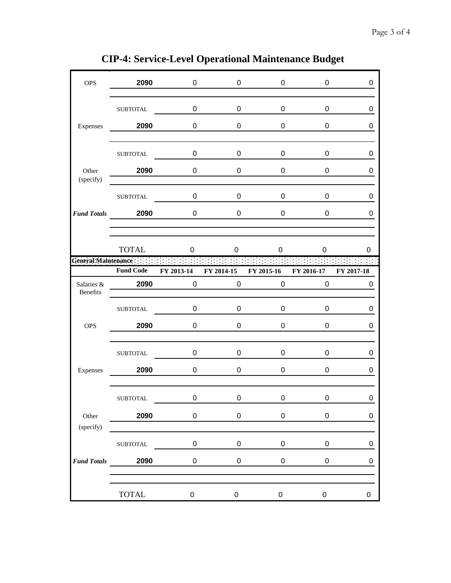| <b>OPS</b>               | 2090             | $\mathbf 0$ | 0              | 0                  | 0                | 0           |
|--------------------------|------------------|-------------|----------------|--------------------|------------------|-------------|
|                          | ${\tt SUBTOTAL}$ | $\mathbf 0$ | 0              | $\pmb{0}$          | 0                | 0           |
| Expenses                 | 2090             | 0           | 0              | 0                  | 0                | 0           |
|                          | <b>SUBTOTAL</b>  | 0           | 0              | 0                  | 0                | 0           |
| Other<br>(specify)       | 2090             | 0           | 0              | 0                  | 0                | 0           |
|                          | <b>SUBTOTAL</b>  | 0           | 0              | 0                  | 0                | 0           |
|                          | Fund Totals 2090 | $\mathbf 0$ | $\overline{0}$ | 0                  | 0                | 0           |
|                          | <b>TOTAL</b>     | 0           | 0              | 0                  | 0                | 0           |
| General Maintenance :::: |                  |             |                |                    |                  |             |
|                          | <b>Fund Code</b> | FY 2013-14  | FY 2014-15     | FY 2015-16         | FY 2016-17       | FY 2017-18  |
| Salaries &<br>Benefits   | 2090             | $\mathbf 0$ |                | $0\qquad \qquad 0$ | $\mathbf 0$      | 0           |
|                          | <b>SUBTOTAL</b>  | 0           | 0              | 0                  | 0                | 0           |
| <b>OPS</b>               | 2090             | 0           | 0              | 0                  | 0                | 0           |
|                          | <b>SUBTOTAL</b>  | $\mathbf 0$ | $\mathbf 0$    | 0                  | 0                | 0           |
| Expenses                 | 2090             | 0           | 0              | 0                  | 0                | 0           |
|                          | ${\tt SUBTOTAL}$ | $\pmb{0}$   | $\pmb{0}$      | $\pmb{0}$          | $\boldsymbol{0}$ | 0           |
| Other<br>(specify)       | 2090             | $\pmb{0}$   | $\pmb{0}$      | $\pmb{0}$          | $\mathbf 0$      | $\mathsf 0$ |
|                          | ${\tt SUBTOTAL}$ | $\pmb{0}$   | 0              | $\boldsymbol{0}$   | 0                | 0           |
| <b>Fund Totals</b>       | 2090             | $\pmb{0}$   | 0              | $\pmb{0}$          | 0                | 0           |
|                          | <b>TOTAL</b>     | $\pmb{0}$   | $\mathbf 0$    | $\mathbf 0$        | $\mathbf 0$      | 0           |

**CIP-4: Service-Level Operational Maintenance Budget**